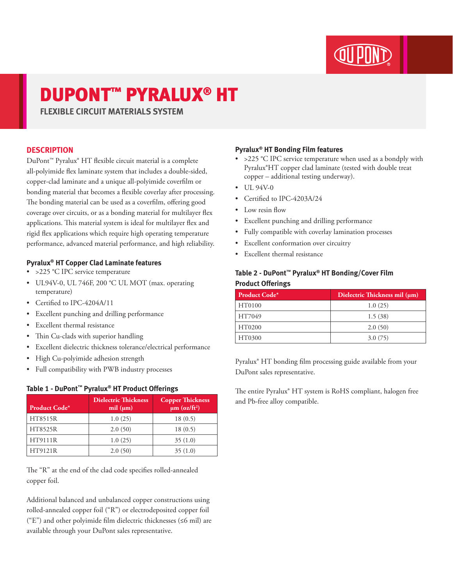# DUPONT™ PYRALUX® HT

**FLEXIBLE CIRCUIT MATERIALS SYSTEM**

### **DESCRIPTION**

DuPont™ Pyralux® HT flexible circuit material is a complete all-polyimide flex laminate system that includes a double-sided, copper-clad laminate and a unique all-polyimide coverfilm or bonding material that becomes a flexible coverlay after processing. The bonding material can be used as a coverfilm, offering good coverage over circuits, or as a bonding material for multilayer flex applications. This material system is ideal for multilayer flex and rigid flex applications which require high operating temperature performance, advanced material performance, and high reliability.

### **Pyralux® HT Copper Clad Laminate features**

- > 225 °C IPC service temperature
- UL94V-0, UL 746F, 200 °C UL MOT (max. operating temperature)
- Certified to IPC-4204A/11
- Excellent punching and drilling performance
- Excellent thermal resistance
- Thin Cu-clads with superior handling
- Excellent dielectric thickness tolerance/electrical performance
- High Cu-polyimide adhesion strength
- Full compatibility with PWB industry processes

| Product Code*  | <b>Dielectric Thickness</b><br>mil $(\mu m)$ | <b>Copper Thickness</b><br>$\mu$ m (oz/ft <sup>2</sup> ) |  |  |  |
|----------------|----------------------------------------------|----------------------------------------------------------|--|--|--|
| <b>HT8515R</b> | 1.0(25)                                      | 18(0.5)                                                  |  |  |  |
| HT8525R        | 2.0(50)                                      | 18(0.5)                                                  |  |  |  |
| HT9111R        | 1.0(25)                                      | 35(1.0)                                                  |  |  |  |
| HT9121R        | 2.0(50)                                      | 35(1.0)                                                  |  |  |  |

### **Table 1 - DuPont™ Pyralux® HT Product Offerings**

The "R" at the end of the clad code specifies rolled-annealed copper foil.

Additional balanced and unbalanced copper constructions using rolled-annealed copper foil ("R") or electrodeposited copper foil ("E") and other polyimide film dielectric thicknesses (≤6 mil) are available through your DuPont sales representative.

### **Pyralux® HT Bonding Film features**

- > 225 °C IPC service temperature when used as a bondply with Pyralux®HT copper clad laminate (tested with double treat copper – additional testing underway).
- $\bullet$  UL 94V-0
- Certified to IPC-4203A/24
- Low resin flow
- Excellent punching and drilling performance
- Fully compatible with coverlay lamination processes
- Excellent conformation over circuitry
- Excellent thermal resistance

### **Table 2 - DuPont™ Pyralux® HT Bonding/Cover Film Product Offerings**

| <b>Product Code*</b> | Dielectric Thickness mil (µm) |
|----------------------|-------------------------------|
| HT0100               | 1.0(25)                       |
| HT7049               | 1.5(38)                       |
| HT0200               | 2.0(50)                       |
| HT0300               | 3.0(75)                       |

Pyralux® HT bonding film processing guide available from your DuPont sales representative.

The entire Pyralux® HT system is RoHS compliant, halogen free and Pb-free alloy compatible.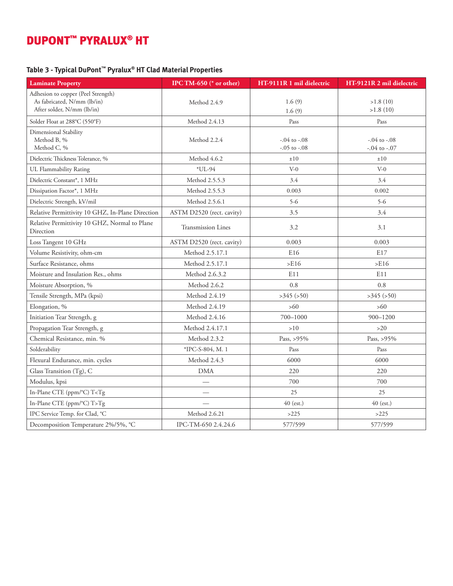## DUPONT™ PYRALUX® HT

### **Table 3 - Typical DuPont™ Pyralux® HT Clad Material Properties**

| <b>Laminate Property</b>                                                                        | IPC TM-650 (* or other)   | HT-9111R 1 mil dielectric            | HT-9121R 2 mil dielectric            |
|-------------------------------------------------------------------------------------------------|---------------------------|--------------------------------------|--------------------------------------|
| Adhesion to copper (Peel Strength)<br>As fabricated, N/mm (lb/in)<br>After solder, N/mm (lb/in) | Method 2.4.9              | 1.6(9)<br>1.6(9)                     | >1.8(10)<br>>1.8(10)                 |
| Solder Float at 288°C (550°F)                                                                   | Method 2.4.13             | Pass                                 | Pass                                 |
| Dimensional Stability<br>Method B, %<br>Method C, %                                             | Method 2.2.4              | $-.04$ to $-.08$<br>$-.05$ to $-.08$ | $-.04$ to $-.08$<br>$-.04$ to $-.07$ |
| Dielectric Thickness Tolerance, %                                                               | Method 4.6.2              | ±10                                  | ±10                                  |
| UL Flammability Rating                                                                          | $*UL-94$                  | $V-0$                                | $V-0$                                |
| Dielectric Constant*, 1 MHz                                                                     | Method 2.5.5.3            | 3.4                                  | 3.4                                  |
| Dissipation Factor*, 1 MHz                                                                      | Method 2.5.5.3            | 0.003                                | 0.002                                |
| Dielectric Strength, kV/mil                                                                     | Method 2.5.6.1            | $5 - 6$                              | $5 - 6$                              |
| Relative Permittivity 10 GHZ, In-Plane Direction                                                | ASTM D2520 (rect. cavity) | 3.5                                  | 3.4                                  |
| Relative Permittivity 10 GHZ, Normal to Plane<br>Direction                                      | <b>Transmission Lines</b> | 3.2                                  | 3.1                                  |
| Loss Tangent 10 GHz                                                                             | ASTM D2520 (rect. cavity) | 0.003                                | 0.003                                |
| Volume Resistivity, ohm-cm                                                                      | Method 2.5.17.1           | E <sub>16</sub>                      | E17                                  |
| Surface Resistance, ohms                                                                        | Method 2.5.17.1           | >E16                                 | >E16                                 |
| Moisture and Insulation Res., ohms                                                              | Method 2.6.3.2            | E11                                  | E11                                  |
| Moisture Absorption, %                                                                          | Method 2.6.2              | 0.8                                  | 0.8                                  |
| Tensile Strength, MPa (kpsi)                                                                    | Method 2.4.19             | $>345$ ( $>50$ )                     | $>345$ ( $>50$ )                     |
| Elongation, %                                                                                   | Method 2.4.19             | >60                                  | $>60$                                |
| Initiation Tear Strength, g                                                                     | Method 2.4.16             | 700-1000                             | $900 - 1200$                         |
| Propagation Tear Strength, g                                                                    | Method 2.4.17.1           | >10                                  | $>20$                                |
| Chemical Resistance, min. %                                                                     | Method 2.3.2              | Pass, >95%                           | Pass, >95%                           |
| Solderability                                                                                   | *IPC-S-804, M. 1          | Pass                                 | Pass                                 |
| Flexural Endurance, min. cycles                                                                 | Method 2.4.3              | 6000                                 | 6000                                 |
| Glass Transition (Tg), C                                                                        | <b>DMA</b>                | 220                                  | 220                                  |
| Modulus, kpsi                                                                                   |                           | 700                                  | 700                                  |
| In-Plane CTE (ppm/°C) T <tg< td=""><td></td><td>25</td><td>25</td></tg<>                        |                           | 25                                   | 25                                   |
| In-Plane CTE (ppm/°C) T>Tg                                                                      |                           | 40 (est.)                            | 40 (est.)                            |
| IPC Service Temp. for Clad, °C                                                                  | Method 2.6.21             | >225                                 | >225                                 |
| Decomposition Temperature 2%/5%, °C                                                             | IPC-TM-650 2.4.24.6       | 577/599                              | 577/599                              |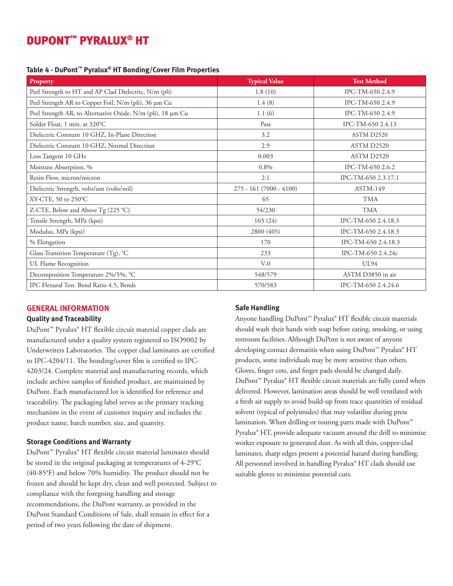### DUPONT™ PYRALUX® HT

### **Table 4 - DuPont™ Pyralux® HT Bonding/Cover Film Properties**

| Property                                                    | <b>Typical Value</b>     | <b>Test Method</b>  |
|-------------------------------------------------------------|--------------------------|---------------------|
| Peel Strength to HT and AP Clad Dielectric, N/m (pli)       | 1.8(10)                  | IPC-TM-650 2.4.9    |
| Peel Strength AR to Copper Foil, N/m (pli), 36 µm Cu        | 1.4(8)                   | IPC-TM-650 2.4.9    |
| Peel Strength AR, to Alternative Oxide, N/m (pli), 18 µm Cu | 1.1(6)                   | IPC-TM-650 2.4.9    |
| Solder Float, 1 min. at 320°C                               | Pass                     | IPC-TM-650 2.4.13   |
| Dielectric Constant 10 GHZ, In-Plane Direction              | 3.2                      | ASTM D2520          |
| Dielectric Constant 10 GHZ, Normal Direction                | 2.9                      | ASTM D2520          |
| Loss Tangent 10 GHz                                         | 0.003                    | ASTM D2520          |
| Moisture Absorption, %                                      | 0.8%                     | IPC-TM-650 2.6.2    |
| Resin Flow, micron/micron                                   | 2:1                      | IPC-TM-650 2.3.17.1 |
| Dielectric Strength, volts/um (volts/mil)                   | $275 - 161(7000 - 4100)$ | <b>ASTM-149</b>     |
| XY-CTE, 50 to 250°C                                         | 65                       | <b>TMA</b>          |
| Z-CTE, Below and Above Tg (225 °C)                          | 54/230                   | <b>TMA</b>          |
| Tensile Strength, MPa (kpsi)                                | 165(24)                  | IPC-TM-650 2.4.18.3 |
| Modulus, MPa (kpsi)                                         | 2800 (405)               | IPC-TM-650 2.4.18.3 |
| % Elongation                                                | 170                      | IPC-TM-650 2.4.18.3 |
| Glass Transition Temperature (Tg), °C                       | 233                      | IPC-TM-650 2.4.24c  |
| UL Flame Recognition                                        | $V-0$                    | <b>UL94</b>         |
| Decomposition Temperature 2%/5%, °C                         | 548/579                  | ASTM D3850 in air   |
| IPC Flexural Test. Bend Ratio 4.5, Bends                    | 570/583                  | IPC-TM-650 2.4.24.6 |

### **GENERAL INFORMATION**

### **Quality and Traceability**

DuPont™ Pyralux® HT flexible circuit material copper clads are manufactured under a quality system registered to ISO9002 by Underwriters Laboratories. The copper clad laminates are certified to IPC-4204/11. The bonding/cover film is certified to IPC-4203/24. Complete material and manufacturing records, which include archive samples of finished product, are maintained by DuPont. Each manufactured lot is identified for reference and traceability. The packaging label serves as the primary tracking mechanism in the event of customer inquiry and includes the product name, batch number, size, and quantity.

### **Storage Conditions and Warranty**

DuPont™ Pyralux® HT flexible circuit material laminates should be stored in the original packaging at temperatures of 4-29°C (40-85°F) and below 70% humidity. The product should not be frozen and should be kept dry, clean and well protected. Subject to compliance with the foregoing handling and storage recommendations, the DuPont warranty, as provided in the DuPont Standard Conditions of Sale, shall remain in effect for a period of two years following the date of shipment.

#### **Safe Handling**

Anyone handling DuPont™ Pyralux® HT flexible circuit materials should wash their hands with soap before eating, smoking, or using restroom facilities. Although DuPont is not aware of anyone developing contact dermatitis when using DuPont™ Pyralux® HT products, some individuals may be more sensitive than others. Gloves, finger cots, and finger pads should be changed daily. DuPont™ Pyralux® HT flexible circuit materials are fully cured when delivered. However, lamination areas should be well ventilated with a fresh air supply to avoid build-up from trace quantities of residual solvent (typical of polyimides) that may volatilize during press lamination. When drilling or routing parts made with DuPont™ Pyralux® HT, provide adequate vacuum around the drill to minimize worker exposure to generated dust. As with all thin, copper-clad laminates, sharp edges present a potential hazard during handling. All personnel involved in handling Pyralux® HT clads should use suitable gloves to minimize potential cuts.